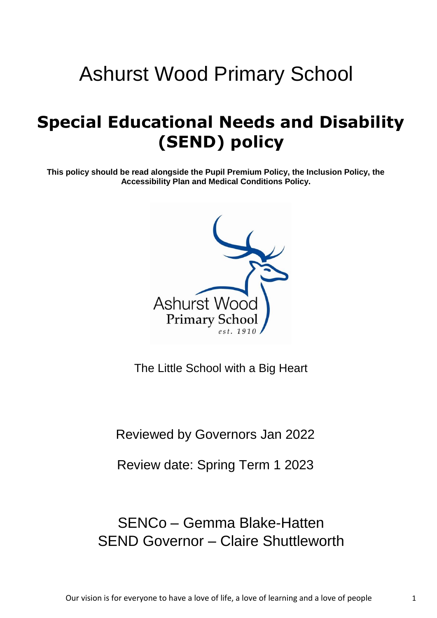# Ashurst Wood Primary School

## **Special Educational Needs and Disability (SEND) policy**

**This policy should be read alongside the Pupil Premium Policy, the Inclusion Policy, the Accessibility Plan and Medical Conditions Policy.**



The Little School with a Big Heart

Reviewed by Governors Jan 2022

Review date: Spring Term 1 2023

## SENCo – Gemma Blake-Hatten SEND Governor – Claire Shuttleworth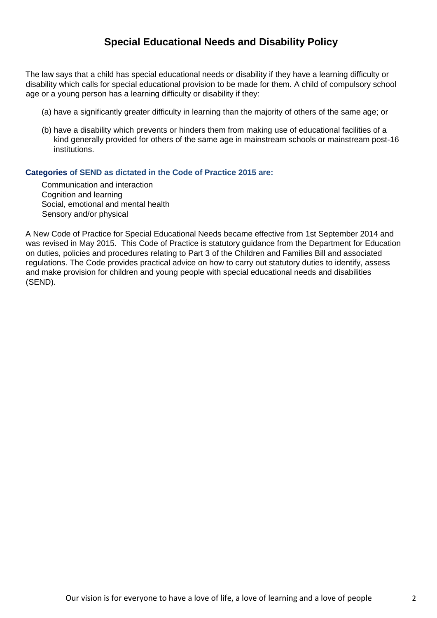#### **Special Educational Needs and Disability Policy**

The law says that a child has special educational needs or disability if they have a learning difficulty or disability which calls for special educational provision to be made for them. A child of compulsory school age or a young person has a learning difficulty or disability if they:

- (a) have a significantly greater difficulty in learning than the majority of others of the same age; or
- (b) have a disability which prevents or hinders them from making use of educational facilities of a kind generally provided for others of the same age in mainstream schools or mainstream post-16 institutions.

#### **Categories of SEND as dictated in the Code of Practice 2015 are:**

Communication and interaction Cognition and learning Social, emotional and mental health Sensory and/or physical

A New Code of Practice for Special Educational Needs became effective from 1st September 2014 and was revised in May 2015. This Code of Practice is statutory guidance from the Department for Education on duties, policies and procedures relating to Part 3 of the Children and Families Bill and associated regulations. The Code provides practical advice on how to carry out statutory duties to identify, assess and make provision for children and young people with special educational needs and disabilities (SEND).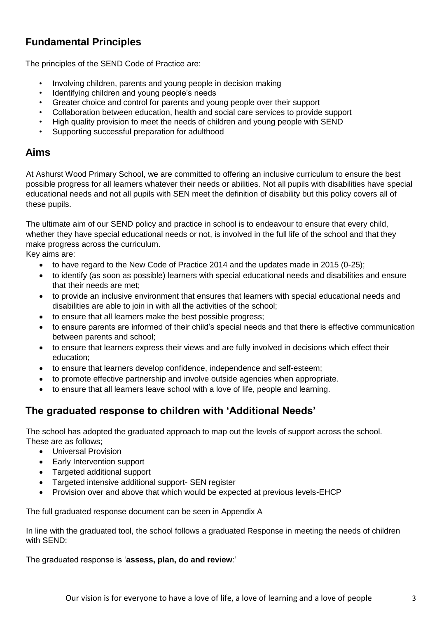## **Fundamental Principles**

The principles of the SEND Code of Practice are:

- Involving children, parents and young people in decision making
- Identifying children and young people's needs
- Greater choice and control for parents and young people over their support
- Collaboration between education, health and social care services to provide support
- High quality provision to meet the needs of children and young people with SEND
- Supporting successful preparation for adulthood

#### **Aims**

At Ashurst Wood Primary School, we are committed to offering an inclusive curriculum to ensure the best possible progress for all learners whatever their needs or abilities. Not all pupils with disabilities have special educational needs and not all pupils with SEN meet the definition of disability but this policy covers all of these pupils.

The ultimate aim of our SEND policy and practice in school is to endeavour to ensure that every child, whether they have special educational needs or not, is involved in the full life of the school and that they make progress across the curriculum.

Key aims are:

- to have regard to the New Code of Practice 2014 and the updates made in 2015 (0-25);
- to identify (as soon as possible) learners with special educational needs and disabilities and ensure that their needs are met;
- to provide an inclusive environment that ensures that learners with special educational needs and disabilities are able to join in with all the activities of the school;
- to ensure that all learners make the best possible progress;
- to ensure parents are informed of their child's special needs and that there is effective communication between parents and school;
- to ensure that learners express their views and are fully involved in decisions which effect their education;
- to ensure that learners develop confidence, independence and self-esteem;
- to promote effective partnership and involve outside agencies when appropriate.
- to ensure that all learners leave school with a love of life, people and learning.

#### **The graduated response to children with 'Additional Needs'**

The school has adopted the graduated approach to map out the levels of support across the school. These are as follows;

- Universal Provision
- Early Intervention support
- Targeted additional support
- Targeted intensive additional support- SEN register
- Provision over and above that which would be expected at previous levels-EHCP

The full graduated response document can be seen in Appendix A

In line with the graduated tool, the school follows a graduated Response in meeting the needs of children with SEND:

The graduated response is '**assess, plan, do and review**:'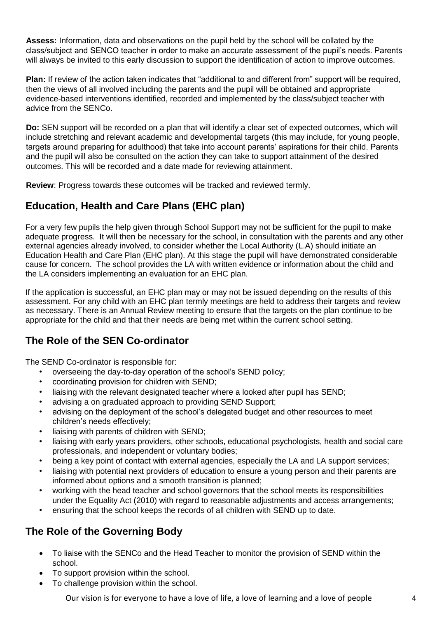**Assess:** Information, data and observations on the pupil held by the school will be collated by the class/subject and SENCO teacher in order to make an accurate assessment of the pupil's needs. Parents will always be invited to this early discussion to support the identification of action to improve outcomes.

**Plan:** If review of the action taken indicates that "additional to and different from" support will be required, then the views of all involved including the parents and the pupil will be obtained and appropriate evidence-based interventions identified, recorded and implemented by the class/subject teacher with advice from the SENCo.

**Do:** SEN support will be recorded on a plan that will identify a clear set of expected outcomes, which will include stretching and relevant academic and developmental targets (this may include, for young people, targets around preparing for adulthood) that take into account parents' aspirations for their child. Parents and the pupil will also be consulted on the action they can take to support attainment of the desired outcomes. This will be recorded and a date made for reviewing attainment.

**Review**: Progress towards these outcomes will be tracked and reviewed termly.

### **Education, Health and Care Plans (EHC plan)**

For a very few pupils the help given through School Support may not be sufficient for the pupil to make adequate progress. It will then be necessary for the school, in consultation with the parents and any other external agencies already involved, to consider whether the Local Authority (L.A) should initiate an Education Health and Care Plan (EHC plan). At this stage the pupil will have demonstrated considerable cause for concern. The school provides the LA with written evidence or information about the child and the LA considers implementing an evaluation for an EHC plan.

If the application is successful, an EHC plan may or may not be issued depending on the results of this assessment. For any child with an EHC plan termly meetings are held to address their targets and review as necessary. There is an Annual Review meeting to ensure that the targets on the plan continue to be appropriate for the child and that their needs are being met within the current school setting.

#### **The Role of the SEN Co-ordinator**

The SEND Co-ordinator is responsible for:

- overseeing the day-to-day operation of the school's SEND policy;
- coordinating provision for children with SEND;
- liaising with the relevant designated teacher where a looked after pupil has SEND:
- advising a on graduated approach to providing SEND Support:
- advising on the deployment of the school's delegated budget and other resources to meet children's needs effectively;
- liaising with parents of children with SEND;
- liaising with early years providers, other schools, educational psychologists, health and social care professionals, and independent or voluntary bodies;
- being a key point of contact with external agencies, especially the LA and LA support services;
- liaising with potential next providers of education to ensure a young person and their parents are informed about options and a smooth transition is planned;
- working with the head teacher and school governors that the school meets its responsibilities under the Equality Act (2010) with regard to reasonable adjustments and access arrangements;
- ensuring that the school keeps the records of all children with SEND up to date.

#### **The Role of the Governing Body**

- To liaise with the SENCo and the Head Teacher to monitor the provision of SEND within the school.
- To support provision within the school.
- To challenge provision within the school.

Our vision is for everyone to have a love of life, a love of learning and a love of people 4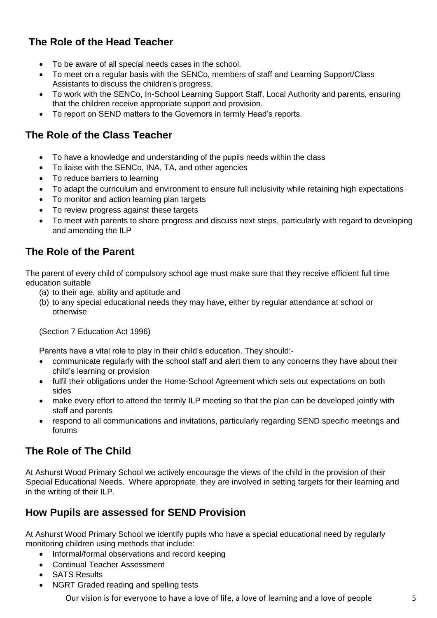## **The Role of the Head Teacher**

- To be aware of all special needs cases in the school.
- To meet on a regular basis with the SENCo, members of staff and Learning Support/Class Assistants to discuss the children's progress.
- To work with the SENCo, In-School Learning Support Staff, Local Authority and parents, ensuring that the children receive appropriate support and provision.
- To report on SEND matters to the Governors in termly Head's reports.

#### **The Role of the Class Teacher**

- To have a knowledge and understanding of the pupils needs within the class
- To liaise with the SENCo, INA, TA, and other agencies
- To reduce barriers to learning
- To adapt the curriculum and environment to ensure full inclusivity while retaining high expectations
- To monitor and action learning plan targets
- To review progress against these targets
- To meet with parents to share progress and discuss next steps, particularly with regard to developing and amending the ILP

#### **The Role of the Parent**

The parent of every child of compulsory school age must make sure that they receive efficient full time education suitable

- (a) to their age, ability and aptitude and
- (b) to any special educational needs they may have, either by regular attendance at school or otherwise

(Section 7 Education Act 1996)

Parents have a vital role to play in their child's education. They should:-

- communicate regularly with the school staff and alert them to any concerns they have about their child's learning or provision
- fulfil their obligations under the Home-School Agreement which sets out expectations on both sides
- make every effort to attend the termly ILP meeting so that the plan can be developed jointly with staff and parents
- respond to all communications and invitations, particularly regarding SEND specific meetings and forums

#### **The Role of The Child**

At Ashurst Wood Primary School we actively encourage the views of the child in the provision of their Special Educational Needs. Where appropriate, they are involved in setting targets for their learning and in the writing of their ILP.

#### **How Pupils are assessed for SEND Provision**

At Ashurst Wood Primary School we identify pupils who have a special educational need by regularly monitoring children using methods that include:

- Informal/formal observations and record keeping
- Continual Teacher Assessment
- SATS Results
- NGRT Graded reading and spelling tests

Our vision is for everyone to have a love of life, a love of learning and a love of people 5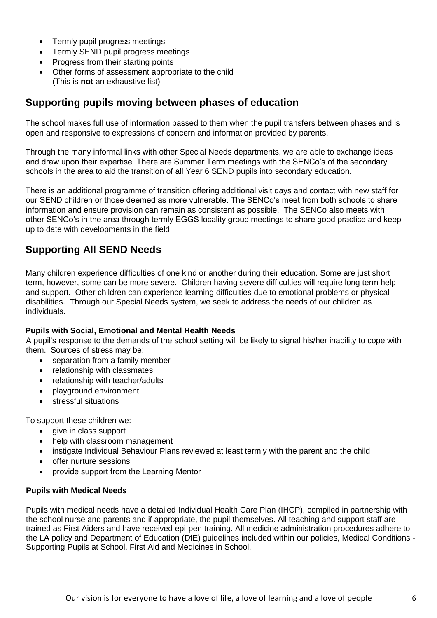- Termly pupil progress meetings
- Termly SEND pupil progress meetings
- Progress from their starting points
- Other forms of assessment appropriate to the child (This is **not** an exhaustive list)

#### **Supporting pupils moving between phases of education**

The school makes full use of information passed to them when the pupil transfers between phases and is open and responsive to expressions of concern and information provided by parents.

Through the many informal links with other Special Needs departments, we are able to exchange ideas and draw upon their expertise. There are Summer Term meetings with the SENCo's of the secondary schools in the area to aid the transition of all Year 6 SEND pupils into secondary education.

There is an additional programme of transition offering additional visit days and contact with new staff for our SEND children or those deemed as more vulnerable. The SENCo's meet from both schools to share information and ensure provision can remain as consistent as possible. The SENCo also meets with other SENCo's in the area through termly EGGS locality group meetings to share good practice and keep up to date with developments in the field.

#### **Supporting All SEND Needs**

Many children experience difficulties of one kind or another during their education. Some are just short term, however, some can be more severe. Children having severe difficulties will require long term help and support. Other children can experience learning difficulties due to emotional problems or physical disabilities. Through our Special Needs system, we seek to address the needs of our children as individuals.

#### **Pupils with Social, Emotional and Mental Health Needs**

A pupil's response to the demands of the school setting will be likely to signal his/her inability to cope with them. Sources of stress may be:

- separation from a family member
- relationship with classmates
- relationship with teacher/adults
- playground environment
- stressful situations

To support these children we:

- give in class support
- help with classroom management
- instigate Individual Behaviour Plans reviewed at least termly with the parent and the child
- offer nurture sessions
- provide support from the Learning Mentor

#### **Pupils with Medical Needs**

Pupils with medical needs have a detailed Individual Health Care Plan (IHCP), compiled in partnership with the school nurse and parents and if appropriate, the pupil themselves. All teaching and support staff are trained as First Aiders and have received epi-pen training. All medicine administration procedures adhere to the LA policy and Department of Education (DfE) guidelines included within our policies, Medical Conditions - Supporting Pupils at School, First Aid and Medicines in School.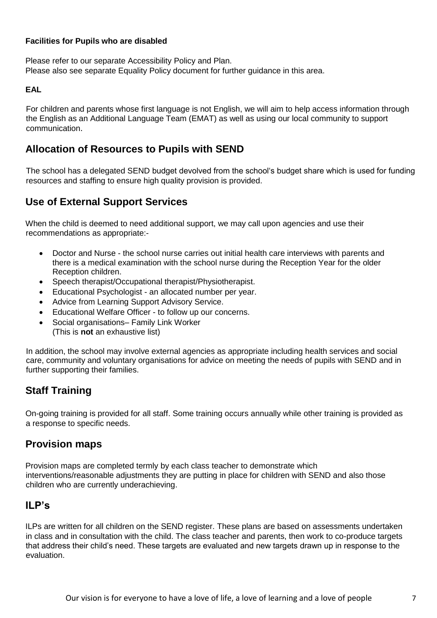#### **Facilities for Pupils who are disabled**

Please refer to our separate Accessibility Policy and Plan. Please also see separate Equality Policy document for further guidance in this area.

#### **EAL**

For children and parents whose first language is not English, we will aim to help access information through the English as an Additional Language Team (EMAT) as well as using our local community to support communication.

#### **Allocation of Resources to Pupils with SEND**

The school has a delegated SEND budget devolved from the school's budget share which is used for funding resources and staffing to ensure high quality provision is provided.

#### **Use of External Support Services**

When the child is deemed to need additional support, we may call upon agencies and use their recommendations as appropriate:-

- Doctor and Nurse the school nurse carries out initial health care interviews with parents and there is a medical examination with the school nurse during the Reception Year for the older Reception children.
- Speech therapist/Occupational therapist/Physiotherapist.
- Educational Psychologist an allocated number per year.
- Advice from Learning Support Advisory Service.
- Educational Welfare Officer to follow up our concerns.
- Social organisations– Family Link Worker (This is **not** an exhaustive list)

In addition, the school may involve external agencies as appropriate including health services and social care, community and voluntary organisations for advice on meeting the needs of pupils with SEND and in further supporting their families.

#### **Staff Training**

On-going training is provided for all staff. Some training occurs annually while other training is provided as a response to specific needs.

#### **Provision maps**

Provision maps are completed termly by each class teacher to demonstrate which interventions/reasonable adjustments they are putting in place for children with SEND and also those children who are currently underachieving.

#### **ILP's**

ILPs are written for all children on the SEND register. These plans are based on assessments undertaken in class and in consultation with the child. The class teacher and parents, then work to co-produce targets that address their child's need. These targets are evaluated and new targets drawn up in response to the evaluation.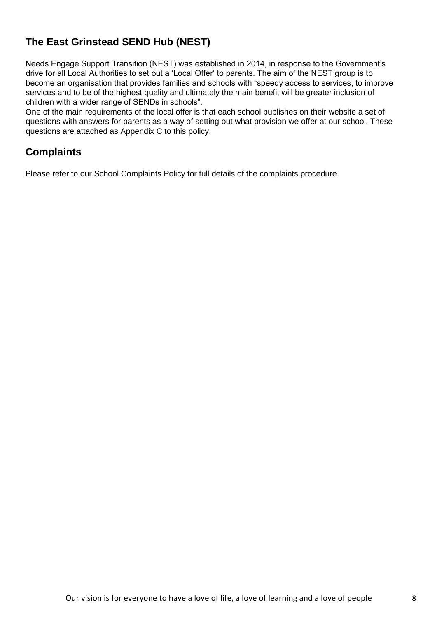## **The East Grinstead SEND Hub (NEST)**

Needs Engage Support Transition (NEST) was established in 2014, in response to the Government's drive for all Local Authorities to set out a 'Local Offer' to parents. The aim of the NEST group is to become an organisation that provides families and schools with "speedy access to services, to improve services and to be of the highest quality and ultimately the main benefit will be greater inclusion of children with a wider range of SENDs in schools".

One of the main requirements of the local offer is that each school publishes on their website a set of questions with answers for parents as a way of setting out what provision we offer at our school. These questions are attached as Appendix C to this policy.

#### **Complaints**

Please refer to our School Complaints Policy for full details of the complaints procedure.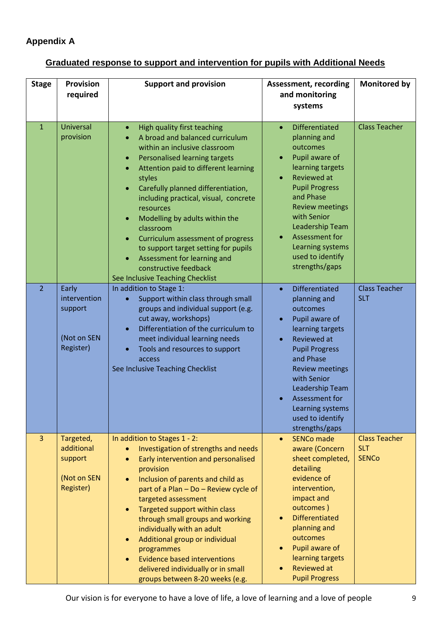#### **Appendix A**

## **Graduated response to support and intervention for pupils with Additional Needs**

| <b>Stage</b>   | <b>Provision</b><br>required                                          | <b>Support and provision</b>                                                                                                                                                                                                                                                                                                                                                                                                                                                                                                                                                                                   | <b>Assessment, recording</b><br>and monitoring<br>systems                                                                                                                                                                                                                                                      | <b>Monitored by</b>                                |
|----------------|-----------------------------------------------------------------------|----------------------------------------------------------------------------------------------------------------------------------------------------------------------------------------------------------------------------------------------------------------------------------------------------------------------------------------------------------------------------------------------------------------------------------------------------------------------------------------------------------------------------------------------------------------------------------------------------------------|----------------------------------------------------------------------------------------------------------------------------------------------------------------------------------------------------------------------------------------------------------------------------------------------------------------|----------------------------------------------------|
| $\mathbf{1}$   | <b>Universal</b><br>provision                                         | High quality first teaching<br>$\bullet$<br>A broad and balanced curriculum<br>$\bullet$<br>within an inclusive classroom<br>Personalised learning targets<br>$\bullet$<br>Attention paid to different learning<br>$\bullet$<br>styles<br>Carefully planned differentiation,<br>$\bullet$<br>including practical, visual, concrete<br>resources<br>Modelling by adults within the<br>$\bullet$<br>classroom<br>Curriculum assessment of progress<br>$\bullet$<br>to support target setting for pupils<br>Assessment for learning and<br>$\bullet$<br>constructive feedback<br>See Inclusive Teaching Checklist | <b>Differentiated</b><br>$\bullet$<br>planning and<br>outcomes<br>Pupil aware of<br>learning targets<br><b>Reviewed at</b><br><b>Pupil Progress</b><br>and Phase<br><b>Review meetings</b><br>with Senior<br>Leadership Team<br>Assessment for<br>Learning systems<br>used to identify<br>strengths/gaps       | <b>Class Teacher</b>                               |
| 2 <sup>1</sup> | Early<br>intervention<br>support<br>(Not on SEN<br>Register)          | In addition to Stage 1:<br>Support within class through small<br>$\bullet$<br>groups and individual support (e.g.<br>cut away, workshops)<br>Differentiation of the curriculum to<br>$\bullet$<br>meet individual learning needs<br>Tools and resources to support<br>$\bullet$<br>access<br>See Inclusive Teaching Checklist                                                                                                                                                                                                                                                                                  | <b>Differentiated</b><br>$\bullet$<br>planning and<br>outcomes<br>Pupil aware of<br>$\bullet$<br>learning targets<br>Reviewed at<br><b>Pupil Progress</b><br>and Phase<br><b>Review meetings</b><br>with Senior<br>Leadership Team<br>Assessment for<br>Learning systems<br>used to identify<br>strengths/gaps | <b>Class Teacher</b><br><b>SLT</b>                 |
| $\overline{3}$ | Targeted,<br>additional<br>support<br>(Not on SEN<br><b>Register)</b> | In addition to Stages 1 - 2:<br>Investigation of strengths and needs<br>$\bullet$<br>Early intervention and personalised<br>$\bullet$<br>provision<br>Inclusion of parents and child as<br>$\bullet$<br>part of a Plan - Do - Review cycle of<br>targeted assessment<br>Targeted support within class<br>$\bullet$<br>through small groups and working<br>individually with an adult<br>Additional group or individual<br>$\bullet$<br>programmes<br><b>Evidence based interventions</b><br>$\bullet$<br>delivered individually or in small<br>groups between 8-20 weeks (e.g.                                 | <b>SENCo made</b><br>$\bullet$<br>aware (Concern<br>sheet completed,<br>detailing<br>evidence of<br>intervention,<br>impact and<br>outcomes)<br><b>Differentiated</b><br>planning and<br>outcomes<br>Pupil aware of<br>$\bullet$<br>learning targets<br><b>Reviewed at</b><br><b>Pupil Progress</b>            | <b>Class Teacher</b><br><b>SLT</b><br><b>SENCo</b> |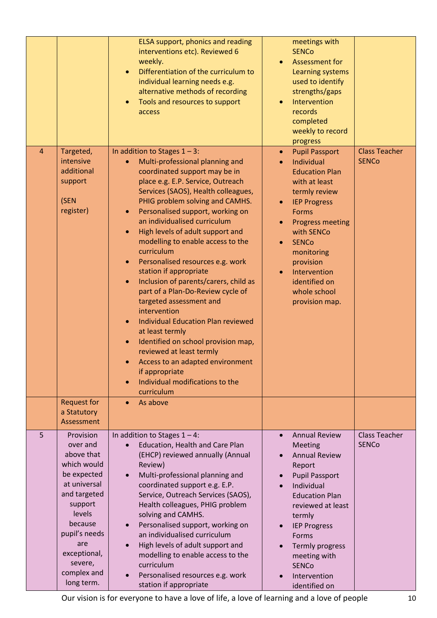|                |                                                                                                                                                                                                                   | ELSA support, phonics and reading<br>interventions etc). Reviewed 6<br>weekly.<br>Differentiation of the curriculum to<br>$\bullet$<br>individual learning needs e.g.<br>alternative methods of recording<br>Tools and resources to support<br>$\bullet$<br>access                                                                                                                                                                                                                                                                                                                                                                                                                                                                                                                                                                                                                                                     | meetings with<br><b>SENCo</b><br><b>Assessment for</b><br>Learning systems<br>used to identify<br>strengths/gaps<br>Intervention<br>records<br>completed<br>weekly to record<br>progress                                                                                                                               |                                      |
|----------------|-------------------------------------------------------------------------------------------------------------------------------------------------------------------------------------------------------------------|------------------------------------------------------------------------------------------------------------------------------------------------------------------------------------------------------------------------------------------------------------------------------------------------------------------------------------------------------------------------------------------------------------------------------------------------------------------------------------------------------------------------------------------------------------------------------------------------------------------------------------------------------------------------------------------------------------------------------------------------------------------------------------------------------------------------------------------------------------------------------------------------------------------------|------------------------------------------------------------------------------------------------------------------------------------------------------------------------------------------------------------------------------------------------------------------------------------------------------------------------|--------------------------------------|
| $\overline{4}$ | Targeted,<br>intensive<br>additional<br>support<br>(SEN<br>register)                                                                                                                                              | In addition to Stages $1 - 3$ :<br>Multi-professional planning and<br>$\bullet$<br>coordinated support may be in<br>place e.g. E.P. Service, Outreach<br>Services (SAOS), Health colleagues,<br>PHIG problem solving and CAMHS.<br>Personalised support, working on<br>$\bullet$<br>an individualised curriculum<br>High levels of adult support and<br>$\bullet$<br>modelling to enable access to the<br>curriculum<br>Personalised resources e.g. work<br>$\bullet$<br>station if appropriate<br>Inclusion of parents/carers, child as<br>$\bullet$<br>part of a Plan-Do-Review cycle of<br>targeted assessment and<br>intervention<br><b>Individual Education Plan reviewed</b><br>$\bullet$<br>at least termly<br>Identified on school provision map,<br>$\bullet$<br>reviewed at least termly<br>Access to an adapted environment<br>if appropriate<br>Individual modifications to the<br>$\bullet$<br>curriculum | <b>Pupil Passport</b><br>$\bullet$<br>Individual<br>$\bullet$<br><b>Education Plan</b><br>with at least<br>termly review<br><b>IEP Progress</b><br><b>Forms</b><br><b>Progress meeting</b><br>with SENCo<br><b>SENCo</b><br>monitoring<br>provision<br>Intervention<br>identified on<br>whole school<br>provision map. | <b>Class Teacher</b><br><b>SENCo</b> |
|                | <b>Request for</b><br>a Statutory<br>Assessment                                                                                                                                                                   | As above<br>$\bullet$                                                                                                                                                                                                                                                                                                                                                                                                                                                                                                                                                                                                                                                                                                                                                                                                                                                                                                  |                                                                                                                                                                                                                                                                                                                        |                                      |
| 5              | Provision<br>over and<br>above that<br>which would<br>be expected<br>at universal<br>and targeted<br>support<br>levels<br>because<br>pupil's needs<br>are<br>exceptional,<br>severe,<br>complex and<br>long term. | In addition to Stages $1 - 4$ :<br>Education, Health and Care Plan<br>(EHCP) reviewed annually (Annual<br>Review)<br>Multi-professional planning and<br>$\bullet$<br>coordinated support e.g. E.P.<br>Service, Outreach Services (SAOS),<br>Health colleagues, PHIG problem<br>solving and CAMHS.<br>Personalised support, working on<br>$\bullet$<br>an individualised curriculum<br>High levels of adult support and<br>$\bullet$<br>modelling to enable access to the<br>curriculum<br>Personalised resources e.g. work<br>$\bullet$<br>station if appropriate                                                                                                                                                                                                                                                                                                                                                      | <b>Annual Review</b><br>$\bullet$<br><b>Meeting</b><br><b>Annual Review</b><br>Report<br><b>Pupil Passport</b><br>Individual<br><b>Education Plan</b><br>reviewed at least<br>termly<br><b>IEP Progress</b><br>Forms<br>Termly progress<br>meeting with<br><b>SENCo</b><br>Intervention<br>identified on               | <b>Class Teacher</b><br><b>SENCo</b> |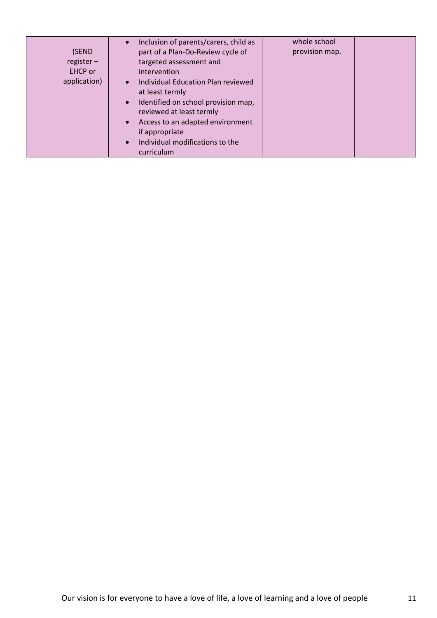| (SEND<br>$register -$<br>EHCP or<br>application) | Inclusion of parents/carers, child as<br>$\bullet$<br>part of a Plan-Do-Review cycle of<br>targeted assessment and<br>intervention<br>Individual Education Plan reviewed<br>$\bullet$<br>at least termly<br>Identified on school provision map,<br>$\bullet$ | whole school<br>provision map. |  |
|--------------------------------------------------|--------------------------------------------------------------------------------------------------------------------------------------------------------------------------------------------------------------------------------------------------------------|--------------------------------|--|
|                                                  | reviewed at least termly<br>Access to an adapted environment<br>$\bullet$<br>if appropriate<br>Individual modifications to the<br>$\bullet$<br>curriculum                                                                                                    |                                |  |